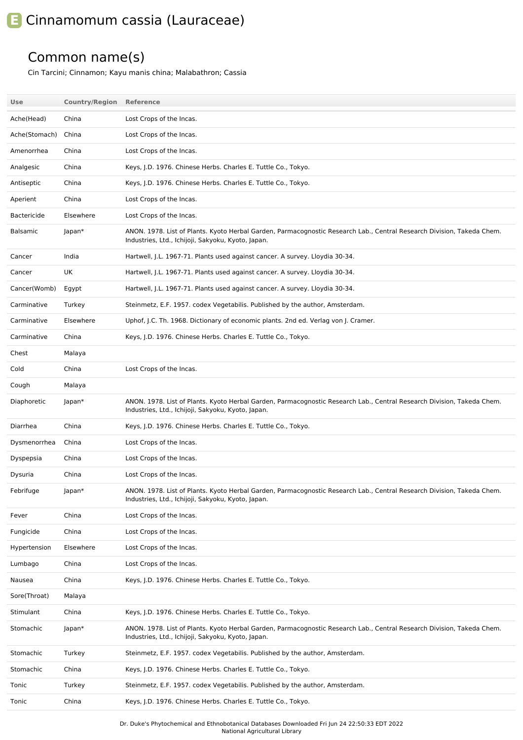## **E** Cinnamomum cassia (Lauraceae)

## Common name(s)

Cin Tarcini; Cinnamon; Kayu manis china; Malabathron; Cassia

| <b>Use</b>      | <b>Country/Region</b> | <b>Reference</b>                                                                                                                                                             |
|-----------------|-----------------------|------------------------------------------------------------------------------------------------------------------------------------------------------------------------------|
| Ache(Head)      | China                 | Lost Crops of the Incas.                                                                                                                                                     |
| Ache(Stomach)   | China                 | Lost Crops of the Incas.                                                                                                                                                     |
| Amenorrhea      | China                 | Lost Crops of the Incas.                                                                                                                                                     |
| Analgesic       | China                 | Keys, J.D. 1976. Chinese Herbs. Charles E. Tuttle Co., Tokyo.                                                                                                                |
| Antiseptic      | China                 | Keys, J.D. 1976. Chinese Herbs. Charles E. Tuttle Co., Tokyo.                                                                                                                |
| Aperient        | China                 | Lost Crops of the Incas.                                                                                                                                                     |
| Bactericide     | Elsewhere             | Lost Crops of the Incas.                                                                                                                                                     |
| <b>Balsamic</b> | Japan*                | ANON. 1978. List of Plants. Kyoto Herbal Garden, Parmacognostic Research Lab., Central Research Division, Takeda Chem.<br>Industries, Ltd., Ichijoji, Sakyoku, Kyoto, Japan. |
| Cancer          | India                 | Hartwell, J.L. 1967-71. Plants used against cancer. A survey. Lloydia 30-34.                                                                                                 |
| Cancer          | UK                    | Hartwell, J.L. 1967-71. Plants used against cancer. A survey. Lloydia 30-34.                                                                                                 |
| Cancer(Womb)    | Egypt                 | Hartwell, J.L. 1967-71. Plants used against cancer. A survey. Lloydia 30-34.                                                                                                 |
| Carminative     | Turkey                | Steinmetz, E.F. 1957. codex Vegetabilis. Published by the author, Amsterdam.                                                                                                 |
| Carminative     | Elsewhere             | Uphof, J.C. Th. 1968. Dictionary of economic plants. 2nd ed. Verlag von J. Cramer.                                                                                           |
| Carminative     | China                 | Keys, J.D. 1976. Chinese Herbs. Charles E. Tuttle Co., Tokyo.                                                                                                                |
| Chest           | Malaya                |                                                                                                                                                                              |
| Cold            | China                 | Lost Crops of the Incas.                                                                                                                                                     |
| Cough           | Malaya                |                                                                                                                                                                              |
| Diaphoretic     | Japan*                | ANON. 1978. List of Plants. Kyoto Herbal Garden, Parmacognostic Research Lab., Central Research Division, Takeda Chem.<br>Industries, Ltd., Ichijoji, Sakyoku, Kyoto, Japan. |
| Diarrhea        | China                 | Keys, J.D. 1976. Chinese Herbs. Charles E. Tuttle Co., Tokyo.                                                                                                                |
| Dysmenorrhea    | China                 | Lost Crops of the Incas.                                                                                                                                                     |
| Dyspepsia       | China                 | Lost Crops of the Incas.                                                                                                                                                     |
| Dysuria         | China                 | Lost Crops of the Incas.                                                                                                                                                     |
| Febrifuge       | Japan*                | ANON. 1978. List of Plants. Kyoto Herbal Garden, Parmacognostic Research Lab., Central Research Division, Takeda Chem.<br>Industries, Ltd., Ichijoji, Sakyoku, Kyoto, Japan. |
| Fever           | China                 | Lost Crops of the Incas.                                                                                                                                                     |
| Fungicide       | China                 | Lost Crops of the Incas.                                                                                                                                                     |
| Hypertension    | Elsewhere             | Lost Crops of the Incas.                                                                                                                                                     |
| Lumbago         | China                 | Lost Crops of the Incas.                                                                                                                                                     |
| Nausea          | China                 | Keys, J.D. 1976. Chinese Herbs. Charles E. Tuttle Co., Tokyo.                                                                                                                |
| Sore(Throat)    | Malaya                |                                                                                                                                                                              |
| Stimulant       | China                 | Keys, J.D. 1976. Chinese Herbs. Charles E. Tuttle Co., Tokyo.                                                                                                                |
| Stomachic       | Japan*                | ANON. 1978. List of Plants. Kyoto Herbal Garden, Parmacognostic Research Lab., Central Research Division, Takeda Chem.<br>Industries, Ltd., Ichijoji, Sakyoku, Kyoto, Japan. |
| Stomachic       | Turkey                | Steinmetz, E.F. 1957. codex Vegetabilis. Published by the author, Amsterdam.                                                                                                 |
| Stomachic       | China                 | Keys, J.D. 1976. Chinese Herbs. Charles E. Tuttle Co., Tokyo.                                                                                                                |
| Tonic           | Turkey                | Steinmetz, E.F. 1957. codex Vegetabilis. Published by the author, Amsterdam.                                                                                                 |
| Tonic           | China                 | Keys, J.D. 1976. Chinese Herbs. Charles E. Tuttle Co., Tokyo.                                                                                                                |